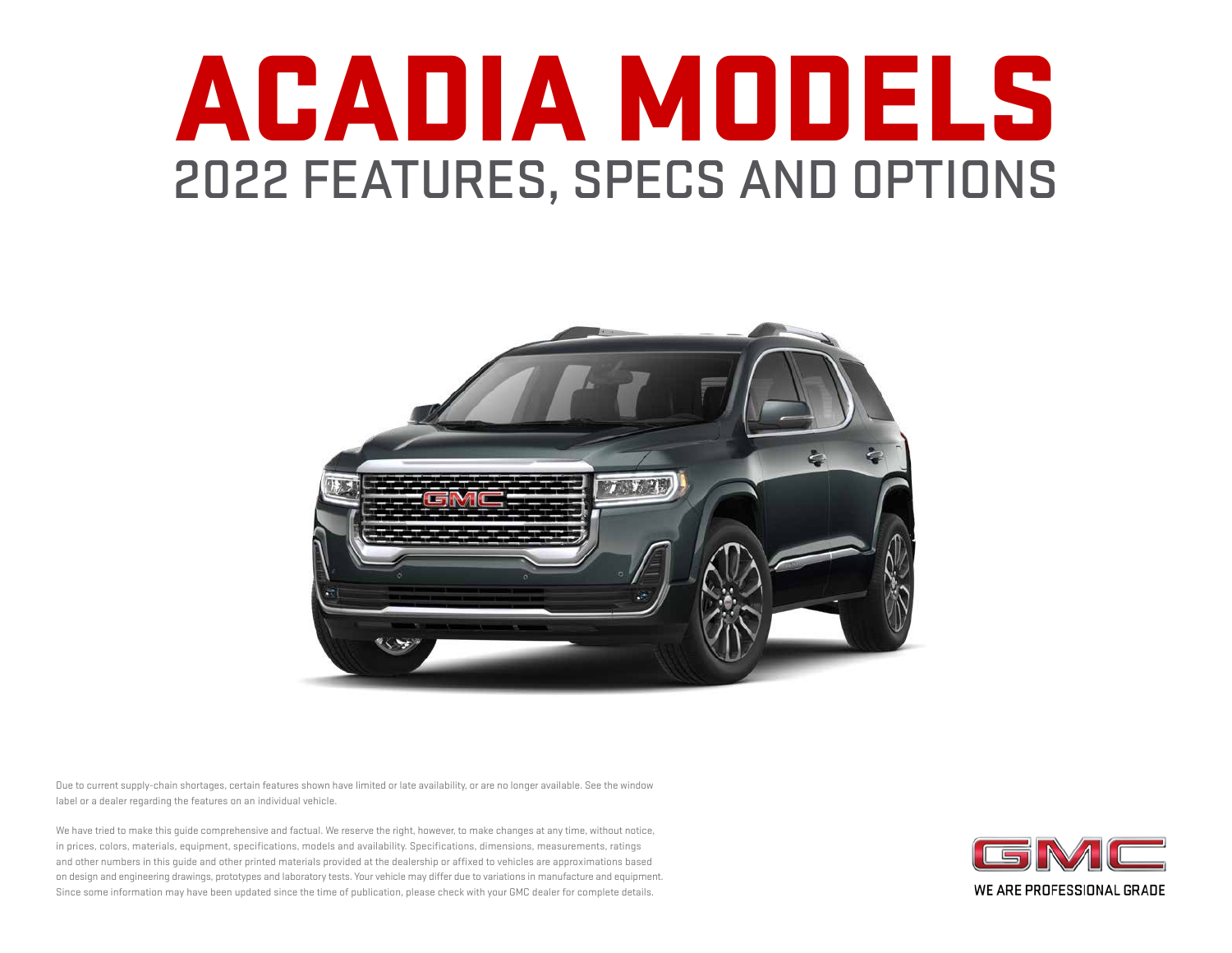# ACADIA MODELS 2022 FEATURES, SPECS AND OPTIONS



Due to current supply-chain shortages, certain features shown have limited or late availability, or are no longer available. See the window label or a dealer regarding the features on an individual vehicle.

We have tried to make this guide comprehensive and factual. We reserve the right, however, to make changes at any time, without notice, in prices, colors, materials, equipment, specifications, models and availability. Specifications, dimensions, measurements, ratings and other numbers in this guide and other printed materials provided at the dealership or affixed to vehicles are approximations based on design and engineering drawings, prototypes and laboratory tests. Your vehicle may differ due to variations in manufacture and equipment. Since some information may have been updated since the time of publication, please check with your GMC dealer for complete details.

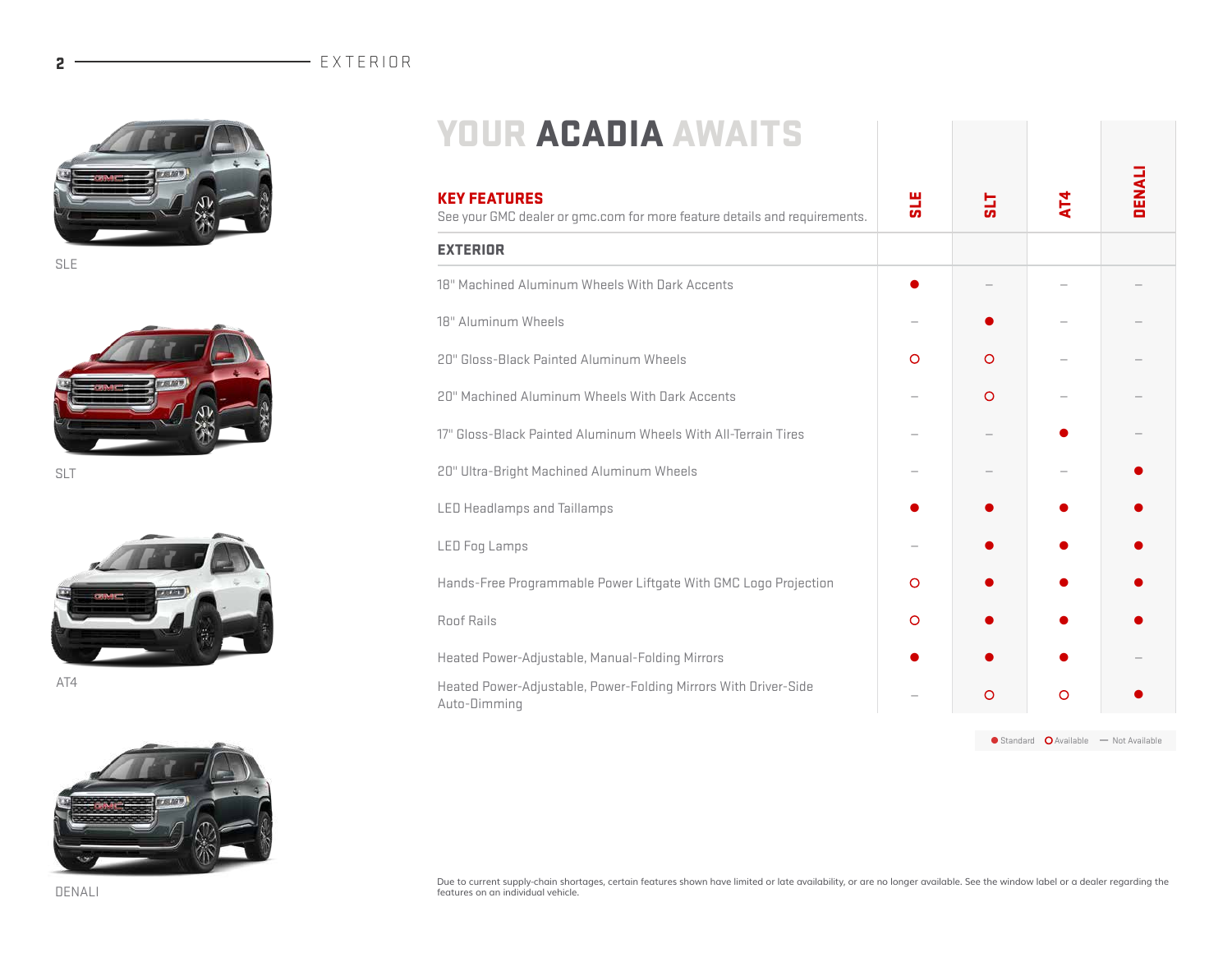#### 2 - EXTERIOR



SLE



SLT



AT4



| <b>KEY FEATURES</b><br>See your GMC dealer or qmc.com for more feature details and requirements. | <b>SLE</b> | <u>یاء</u>         | AT4 | <b>DENALI</b>                        |
|--------------------------------------------------------------------------------------------------|------------|--------------------|-----|--------------------------------------|
| <b>EXTERIOR</b>                                                                                  |            |                    |     |                                      |
| 18" Machined Aluminum Wheels With Dark Accents                                                   |            |                    |     |                                      |
| 18" Aluminum Wheels                                                                              |            |                    |     |                                      |
| 20" Gloss-Black Painted Aluminum Wheels                                                          | O          | $\circ$            |     |                                      |
| 20" Machined Aluminum Wheels With Dark Accents                                                   |            | $\circ$            |     |                                      |
| 17" Gloss-Black Painted Aluminum Wheels With All-Terrain Tires                                   |            |                    |     |                                      |
| 20" Ultra-Bright Machined Aluminum Wheels                                                        |            |                    |     |                                      |
| <b>LED Headlamps and Taillamps</b>                                                               |            |                    |     |                                      |
| <b>LED Fog Lamps</b>                                                                             |            |                    |     |                                      |
| Hands-Free Programmable Power Liftgate With GMC Logo Projection                                  | O          |                    |     |                                      |
| Roof Rails                                                                                       | $\circ$    |                    |     |                                      |
| Heated Power-Adjustable, Manual-Folding Mirrors                                                  |            |                    |     |                                      |
| Heated Power-Adjustable, Power-Folding Mirrors With Driver-Side<br>Auto-Dimming                  |            | $\circ$            | O   |                                      |
|                                                                                                  |            | $\bullet$ Standard |     | $\Omega$ Available $-$ Not Available |

Due to current supply-chain shortages, certain features shown have limited or late availability, or are no longer available. See the window label or a dealer regarding the<br>features on an individual vehicle.

DENALI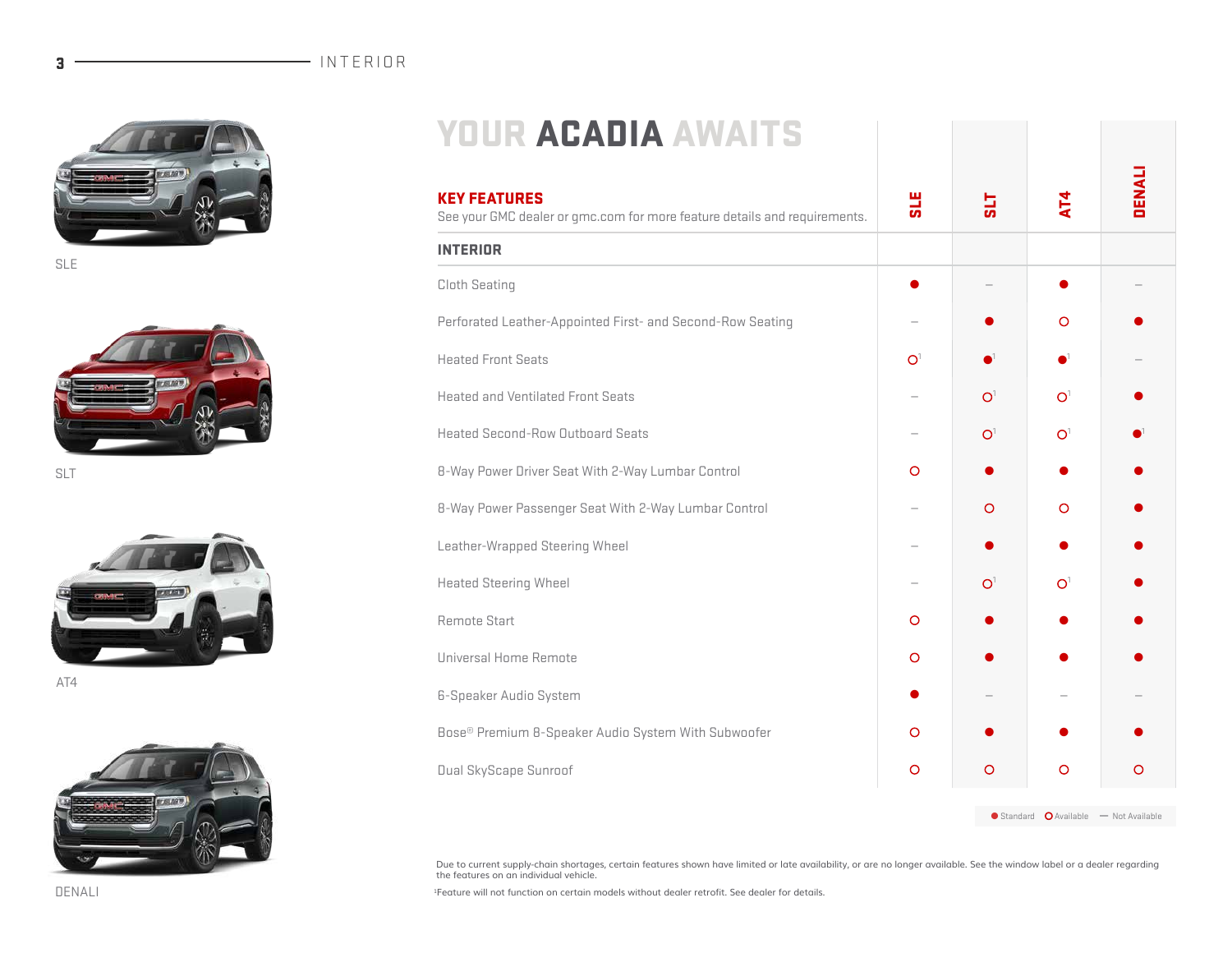

SLE



SLT



AT4



# YOUR ACADIA AWAITS

| <b>KEY FEATURES</b><br>See your GMC dealer or gmc.com for more feature details and requirements. | <b>SLE</b>     | <u>тіа</u>                  | AT4                                                            | <b>DENALI</b> |
|--------------------------------------------------------------------------------------------------|----------------|-----------------------------|----------------------------------------------------------------|---------------|
| <b>INTERIOR</b>                                                                                  |                |                             |                                                                |               |
| Cloth Seating                                                                                    |                |                             |                                                                |               |
| Perforated Leather-Appointed First- and Second-Row Seating                                       |                |                             | $\circ$                                                        |               |
| <b>Heated Front Seats</b>                                                                        | O <sup>1</sup> | $\blacksquare^{\mathbb{1}}$ |                                                                |               |
| <b>Heated and Ventilated Front Seats</b>                                                         |                | O <sup>1</sup>              | O <sup>1</sup>                                                 |               |
| <b>Heated Second-Row Outboard Seats</b>                                                          |                | O <sup>1</sup>              | O <sup>1</sup>                                                 |               |
| 8-Way Power Driver Seat With 2-Way Lumbar Control                                                | $\circ$        |                             |                                                                |               |
| 8-Way Power Passenger Seat With 2-Way Lumbar Control                                             |                | $\circ$                     | $\circ$                                                        |               |
| Leather-Wrapped Steering Wheel                                                                   |                |                             |                                                                |               |
| <b>Heated Steering Wheel</b>                                                                     |                | O <sup>1</sup>              | O <sup>1</sup>                                                 |               |
| Remote Start                                                                                     | $\circ$        |                             |                                                                |               |
| Universal Home Remote                                                                            | $\circ$        |                             |                                                                |               |
| <b>6-Speaker Audio System</b>                                                                    |                |                             |                                                                |               |
| Bose® Premium 8-Speaker Audio System With Subwoofer                                              | O              |                             |                                                                |               |
| <b>Dual SkyScape Sunroof</b>                                                                     | $\circ$        | $\circ$                     | $\circ$                                                        | $\circ$       |
|                                                                                                  |                |                             | $\bullet$ Standard $\bullet$ Available $\bullet$ Not Available |               |

Due to current supply-chain shortages, certain features shown have limited or late availability, or are no longer available. See the window label or a dealer regarding<br>the features on an individual vehicle.

1Feature will not function on certain models without dealer retrofit. See dealer for details.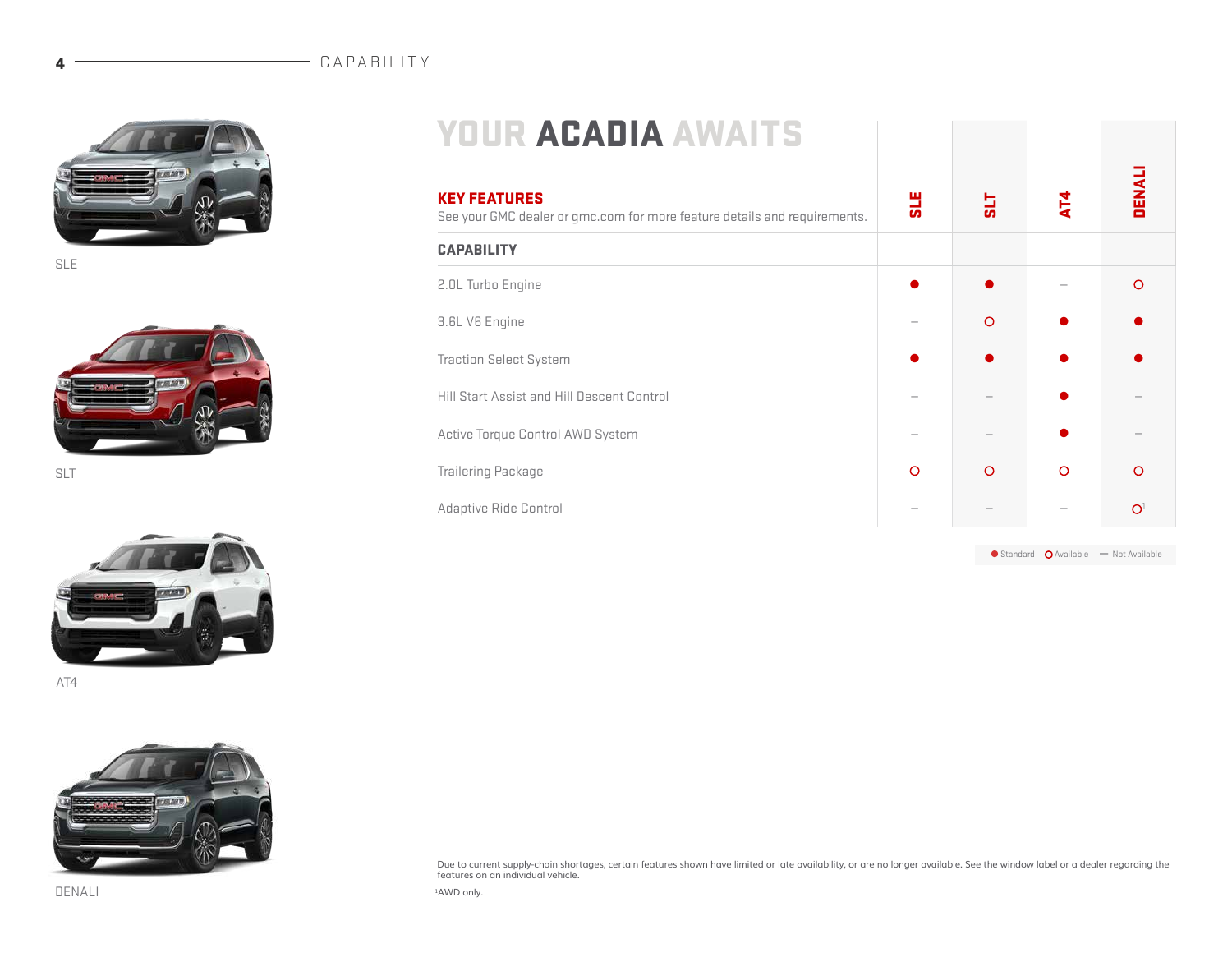#### **4** CAPABILITY



SLE



SLT



AT4



### YOUR ACADIA AWAITS

| <b>KEY FEATURES</b><br>See your GMC dealer or gmc.com for more feature details and requirements. | <b>SLE</b> | 718     | AT4      | DENAL          |  |
|--------------------------------------------------------------------------------------------------|------------|---------|----------|----------------|--|
| <b>CAPABILITY</b>                                                                                |            |         |          |                |  |
| 2.0L Turbo Engine                                                                                |            |         |          | $\circ$        |  |
| 3.6L V6 Engine                                                                                   |            | $\circ$ |          |                |  |
| <b>Traction Select System</b>                                                                    |            |         |          |                |  |
| Hill Start Assist and Hill Descent Control                                                       |            |         |          |                |  |
| Active Torque Control AWD System                                                                 |            |         |          |                |  |
| <b>Trailering Package</b>                                                                        | $\circ$    | $\circ$ | $\Omega$ | $\circ$        |  |
| Adaptive Ride Control                                                                            |            |         |          | O <sup>1</sup> |  |

 $\bullet$  Standard  $\bullet$  Available — Not Available

Due to current supply-chain shortages, certain features shown have limited or late availability, or are no longer available. See the window label or a dealer regarding the features on an individual vehicle.

1AWD only.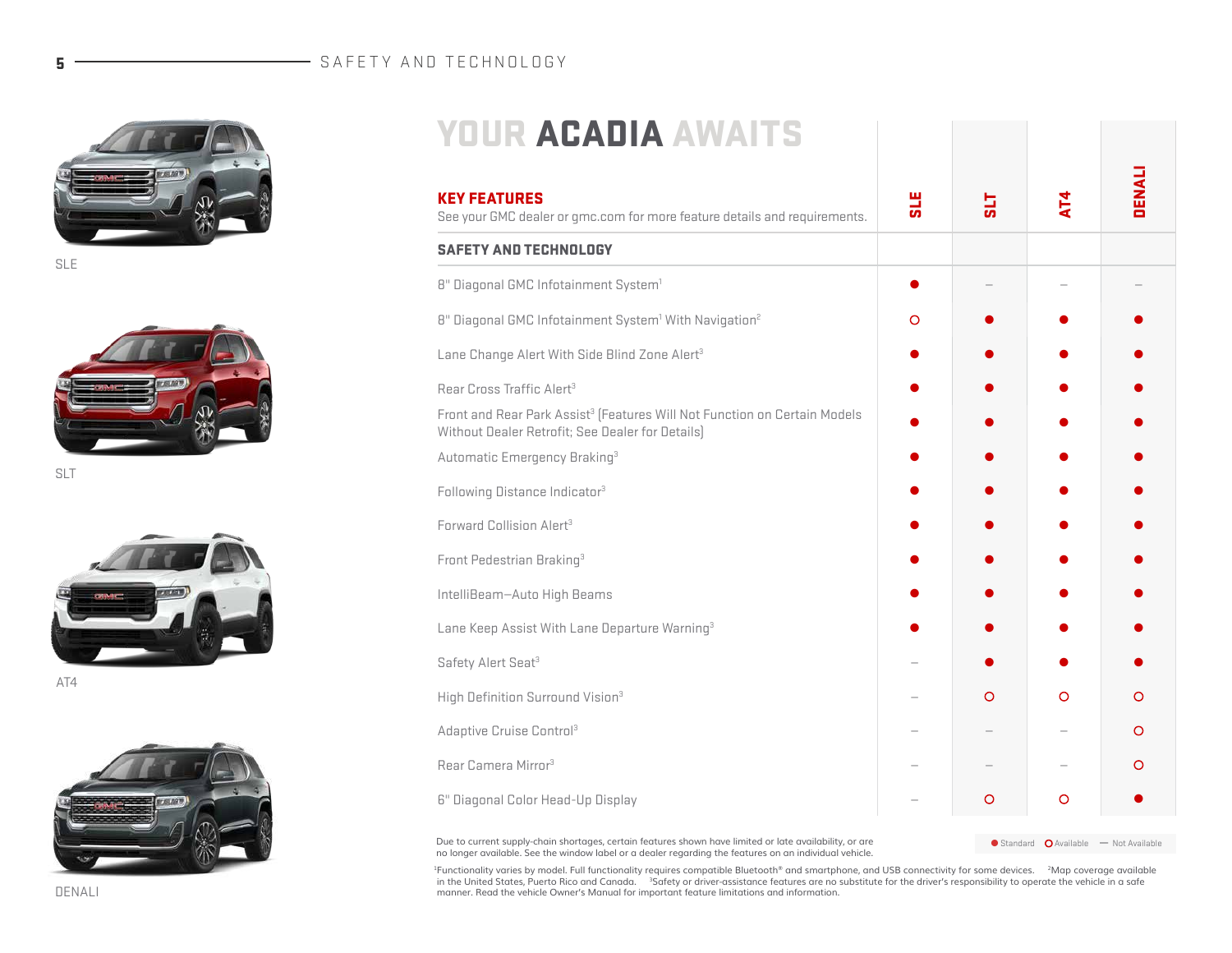#### 5 - SAFETY AND TECHNOLOGY



SLE



SLT



AT4



# YOUR ACADIA AWAITS

| <b>KEY FEATURES</b><br>See your GMC dealer or gmc.com for more feature details and requirements.                                          | <b>SLE</b> | 112     | $\overline{A}$ | DENALI |
|-------------------------------------------------------------------------------------------------------------------------------------------|------------|---------|----------------|--------|
| <b>SAFETY AND TECHNOLOGY</b>                                                                                                              |            |         |                |        |
| 8" Diagonal GMC Infotainment System <sup>1</sup>                                                                                          |            |         |                |        |
| 8" Diagonal GMC Infotainment System <sup>1</sup> With Navigation <sup>2</sup>                                                             | O          |         |                |        |
| Lane Change Alert With Side Blind Zone Alert <sup>3</sup>                                                                                 |            |         |                |        |
| Rear Cross Traffic Alert <sup>3</sup>                                                                                                     |            |         |                |        |
| Front and Rear Park Assist <sup>3</sup> (Features Will Not Function on Certain Models<br>Without Dealer Retrofit; See Dealer for Details) |            |         |                |        |
| Automatic Emergency Braking <sup>3</sup>                                                                                                  |            |         |                |        |
| Following Distance Indicator <sup>3</sup>                                                                                                 |            |         |                |        |
| Forward Collision Alert <sup>3</sup>                                                                                                      |            |         |                |        |
| Front Pedestrian Braking <sup>3</sup>                                                                                                     |            |         |                |        |
| IntelliBeam–Auto High Beams                                                                                                               |            |         |                |        |
| Lane Keep Assist With Lane Departure Warning <sup>3</sup>                                                                                 |            |         |                |        |
| Safety Alert Seat <sup>3</sup>                                                                                                            |            |         |                |        |
| High Definition Surround Vision <sup>3</sup>                                                                                              |            | O       | $\Omega$       | O      |
| Adaptive Cruise Control <sup>3</sup>                                                                                                      |            |         |                | O      |
| Rear Camera Mirror <sup>3</sup>                                                                                                           |            |         |                | O      |
| 6" Diagonal Color Head-Up Display                                                                                                         |            | $\circ$ | O              |        |

Due to current supply-chain shortages, certain features shown have limited or late availability, or are ● Standard ● Available — Not Available no longer available. See the window label or a dealer regarding the features on an individual vehicle.

<sup>1</sup>Functionality varies by model. Full functionality requires compatible Bluetooth® and smartphone, and USB connectivity for some devices. <sup>2</sup>Map coverage available<br>in the United States, Puerto Rico and Canada. <sup>3</sup>Safety o manner. Read the vehicle Owner's Manual for important feature limitations and information.

DENALI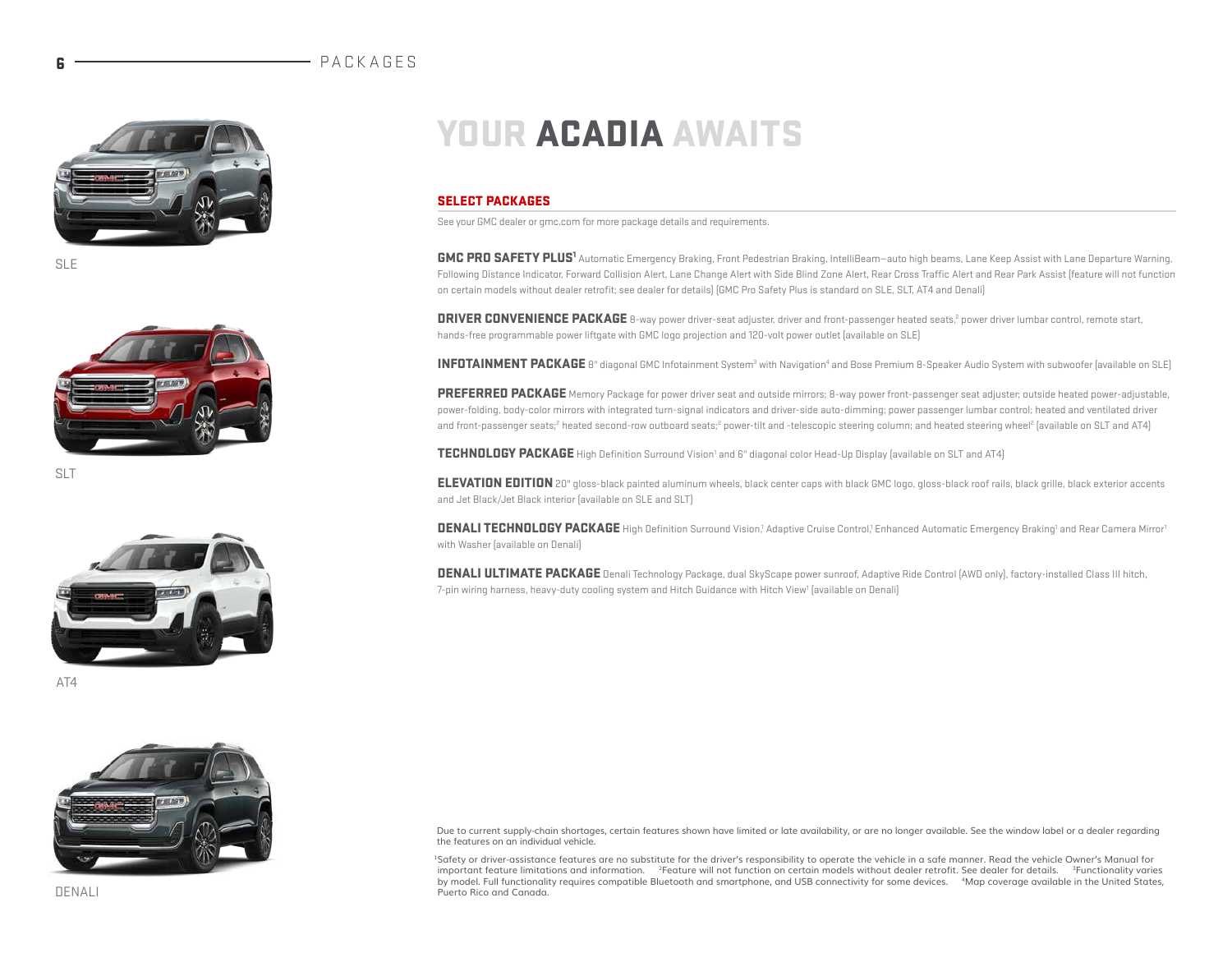#### **PACKAGES**



SLE



SLT



AT4



# YOUR ACADIA AWAITS

#### SELECT PACKAGES

See your GMC dealer or gmc.com for more package details and requirements.

GMC PRO SAFETY PLUS<sup>1</sup> Automatic Emergency Braking, Front Pedestrian Braking, IntelliBeam—auto high beams, Lane Keep Assist with Lane Departure Warning, Following Distance Indicator, Forward Collision Alert, Lane Change Alert with Side Blind Zone Alert, Rear Cross Traffic Alert and Rear Park Assist (feature will not function on certain models without dealer retrofit; see dealer for details) (GMC Pro Safety Plus is standard on SLE, SLT, AT4 and Denali)

DRIVER CONVENIENCE PACKAGE 8-way power driver-seat adjuster, driver and front-passenger heated seats,<sup>2</sup> power driver lumbar control, remote start, hands-free programmable power liftgate with GMC logo projection and 120-volt power outlet (available on SLE)

INFOTAINMENT PACKAGE 8" diagonal GMC Infotainment System<sup>3</sup> with Navigation<sup>4</sup> and Bose Premium 8-Speaker Audio System with subwoofer (available on SLE)

PREFERRED PACKAGE Memory Package for power driver seat and outside mirrors; 8-way power front-passenger seat adjuster; outside heated power-adjustable, power-folding, body-color mirrors with integrated turn-signal indicators and driver-side auto-dimming; power passenger lumbar control; heated and ventilated driver and front-passenger seats;<sup>2</sup> heated second-row outboard seats;<sup>2</sup> power-tilt and -telescopic steering column; and heated steering wheel<sup>2</sup> (available on SLT and AT4)

TECHNOLOGY PACKAGE High Definition Surround Vision<sup>1</sup> and 6" diagonal color Head-Up Display (available on SLT and AT4)

**ELEVATION EDITION** 20" gloss-black painted aluminum wheels, black center caps with black GMC logo, gloss-black roof rails, black grille, black exterior accents and Jet Black/Jet Black interior (available on SLE and SLT)

DENALI TECHNOLOGY PACKAGE High Definition Surround Vision,<sup>1</sup> Adaptive Cruise Control,<sup>1</sup> Enhanced Automatic Emergency Braking<sup>1</sup> and Rear Camera Mirror<sup>1</sup> with Washer (available on Denali)

DENALI ULTIMATE PACKAGE Denali Technology Package, dual SkyScape power sunroof, Adaptive Ride Control (AWD only), factory-installed Class III hitch, 7-pin wiring harness, heavy-duty cooling system and Hitch Guidance with Hitch View<sup>1</sup> (available on Denali)

Due to current supply-chain shortages, certain features shown have limited or late availability, or are no longer available. See the window label or a dealer regarding the features on an individual vehicle.

1Safety or driver-assistance features are no substitute for the driver's responsibility to operate the vehicle in a safe manner. Read the vehicle Owner's Manual for important feature limitations and information. <sup>2</sup>Feature will not function on certain models without dealer retrofit. See dealer for details. <sup>3</sup>Functionality varies by model. Full functionality requires compatible Bluetooth and smartphone, and USB connectivity for some devices. <sup>4</sup>Map coverage available in the United States, Puerto Rico and Canada.

DENALI